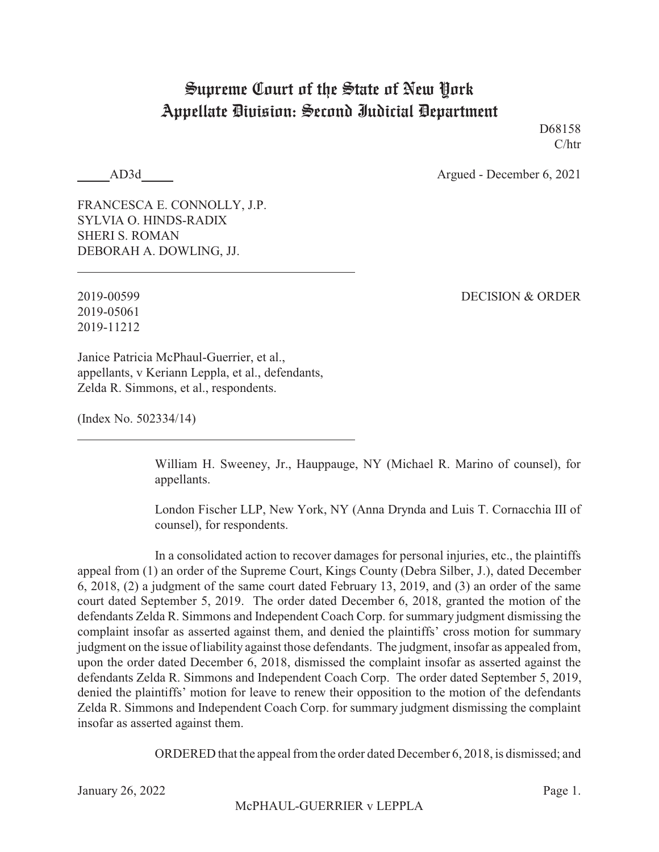## Supreme Court of the State of New York Appellate Division: Second Judicial Department

D68158 C/htr

AD3d Argued - December 6, 2021

FRANCESCA E. CONNOLLY, J.P. SYLVIA O. HINDS-RADIX SHERI S. ROMAN DEBORAH A. DOWLING, JJ.

2019-05061 2019-11212

2019-00599 DECISION & ORDER

Janice Patricia McPhaul-Guerrier, et al., appellants, v Keriann Leppla, et al., defendants, Zelda R. Simmons, et al., respondents.

(Index No. 502334/14)

William H. Sweeney, Jr., Hauppauge, NY (Michael R. Marino of counsel), for appellants.

London Fischer LLP, New York, NY (Anna Drynda and Luis T. Cornacchia III of counsel), for respondents.

In a consolidated action to recover damages for personal injuries, etc., the plaintiffs appeal from (1) an order of the Supreme Court, Kings County (Debra Silber, J.), dated December 6, 2018, (2) a judgment of the same court dated February 13, 2019, and (3) an order of the same court dated September 5, 2019. The order dated December 6, 2018, granted the motion of the defendants Zelda R. Simmons and Independent Coach Corp. for summary judgment dismissing the complaint insofar as asserted against them, and denied the plaintiffs' cross motion for summary judgment on the issue of liability against those defendants. The judgment, insofar as appealed from, upon the order dated December 6, 2018, dismissed the complaint insofar as asserted against the defendants Zelda R. Simmons and Independent Coach Corp. The order dated September 5, 2019, denied the plaintiffs' motion for leave to renew their opposition to the motion of the defendants Zelda R. Simmons and Independent Coach Corp. for summary judgment dismissing the complaint insofar as asserted against them.

ORDERED that the appeal from the order dated December 6, 2018, is dismissed; and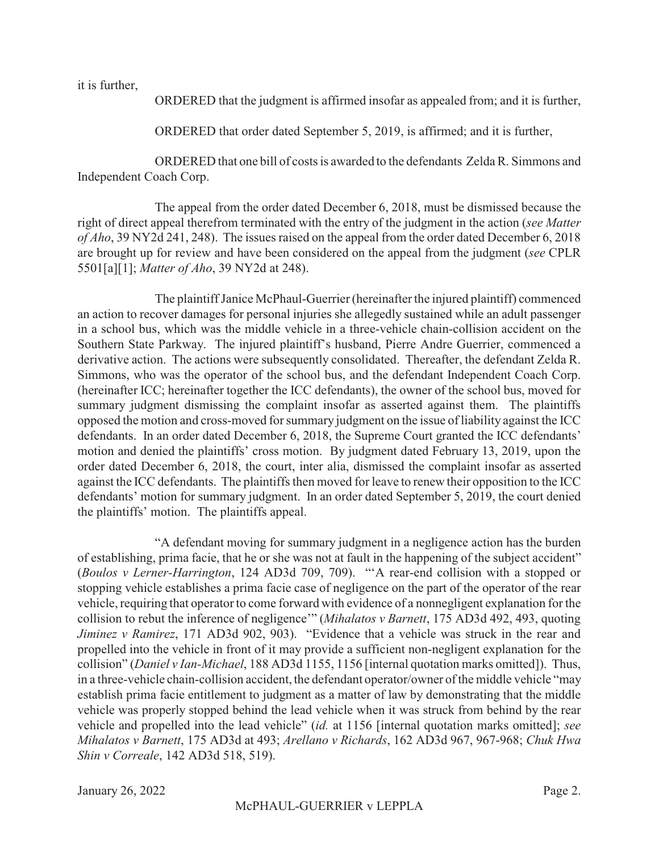it is further,

ORDERED that the judgment is affirmed insofar as appealed from; and it is further,

ORDERED that order dated September 5, 2019, is affirmed; and it is further,

ORDERED that one bill of costs is awarded to the defendants Zelda R. Simmons and Independent Coach Corp.

The appeal from the order dated December 6, 2018, must be dismissed because the right of direct appeal therefrom terminated with the entry of the judgment in the action (*see Matter of Aho*, 39 NY2d 241, 248). The issues raised on the appeal from the order dated December 6, 2018 are brought up for review and have been considered on the appeal from the judgment (*see* CPLR 5501[a][1]; *Matter of Aho*, 39 NY2d at 248).

The plaintiff Janice McPhaul-Guerrier (hereinafter the injured plaintiff) commenced an action to recover damages for personal injuries she allegedly sustained while an adult passenger in a school bus, which was the middle vehicle in a three-vehicle chain-collision accident on the Southern State Parkway. The injured plaintiff's husband, Pierre Andre Guerrier, commenced a derivative action. The actions were subsequently consolidated. Thereafter, the defendant Zelda R. Simmons, who was the operator of the school bus, and the defendant Independent Coach Corp. (hereinafter ICC; hereinafter together the ICC defendants), the owner of the school bus, moved for summary judgment dismissing the complaint insofar as asserted against them. The plaintiffs opposed the motion and cross-moved for summary judgment on the issue of liability against the ICC defendants. In an order dated December 6, 2018, the Supreme Court granted the ICC defendants' motion and denied the plaintiffs' cross motion. By judgment dated February 13, 2019, upon the order dated December 6, 2018, the court, inter alia, dismissed the complaint insofar as asserted against the ICC defendants. The plaintiffs then moved for leave to renew their opposition to the ICC defendants' motion for summary judgment. In an order dated September 5, 2019, the court denied the plaintiffs' motion. The plaintiffs appeal.

"A defendant moving for summary judgment in a negligence action has the burden of establishing, prima facie, that he or she was not at fault in the happening of the subject accident" (*Boulos v Lerner-Harrington*, 124 AD3d 709, 709). "'A rear-end collision with a stopped or stopping vehicle establishes a prima facie case of negligence on the part of the operator of the rear vehicle, requiring that operator to come forward with evidence of a nonnegligent explanation for the collision to rebut the inference of negligence'" (*Mihalatos v Barnett*, 175 AD3d 492, 493, quoting *Jiminez v Ramirez*, 171 AD3d 902, 903). "Evidence that a vehicle was struck in the rear and propelled into the vehicle in front of it may provide a sufficient non-negligent explanation for the collision" (*Daniel v Ian-Michael*, 188 AD3d 1155, 1156 [internal quotation marks omitted]). Thus, in a three-vehicle chain-collision accident, the defendant operator/owner of the middle vehicle "may establish prima facie entitlement to judgment as a matter of law by demonstrating that the middle vehicle was properly stopped behind the lead vehicle when it was struck from behind by the rear vehicle and propelled into the lead vehicle" (*id.* at 1156 [internal quotation marks omitted]; *see Mihalatos v Barnett*, 175 AD3d at 493; *Arellano v Richards*, 162 AD3d 967, 967-968; *Chuk Hwa Shin v Correale*, 142 AD3d 518, 519).

January 26, 2022 Page 2.